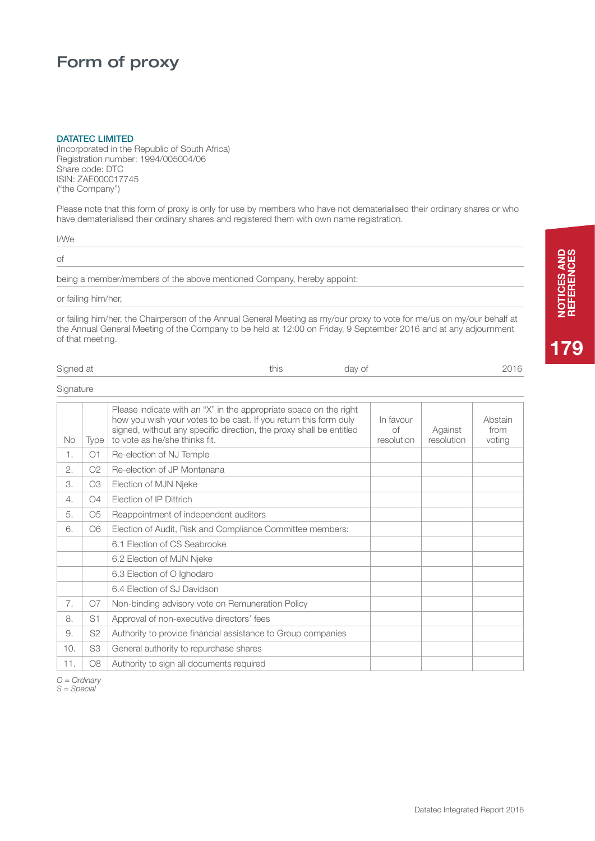# Form of proxy

#### DATATEC LIMITED

(Incorporated in the Republic of South Africa) Registration number: 1994/005004/06 Share code: DTC ISIN: ZAE000017745 ("the Company")

Please note that this form of proxy is only for use by members who have not dematerialised their ordinary shares or who have dematerialised their ordinary shares and registered them with own name registration.

|  | ٠<br>× |
|--|--------|

of

being a member/members of the above mentioned Company, hereby appoint:

### or failing him/her,

or failing him/her, the Chairperson of the Annual General Meeting as my/our proxy to vote for me/us on my/our behalf at the Annual General Meeting of the Company to be held at 12:00 on Friday, 9 September 2016 and at any adjournment of that meeting.

| Signed at | this<br>_____ | day of | $\sim$ $\sim$<br>_____ |
|-----------|---------------|--------|------------------------|
|           |               |        |                        |

### **Signature**

| No  | Type           | Please indicate with an "X" in the appropriate space on the right<br>how you wish your votes to be cast. If you return this form duly<br>signed, without any specific direction, the proxy shall be entitled<br>to vote as he/she thinks fit. | In favour<br>оf<br>resolution | Against<br>resolution | Abstain<br>from<br>voting |
|-----|----------------|-----------------------------------------------------------------------------------------------------------------------------------------------------------------------------------------------------------------------------------------------|-------------------------------|-----------------------|---------------------------|
| 1.  | O1             | Re-election of NJ Temple                                                                                                                                                                                                                      |                               |                       |                           |
| 2.  | O2             | Re-election of JP Montanana                                                                                                                                                                                                                   |                               |                       |                           |
| 3.  | O <sub>3</sub> | Election of MJN Njeke                                                                                                                                                                                                                         |                               |                       |                           |
| 4.  | O <sub>4</sub> | <b>Election of IP Dittrich</b>                                                                                                                                                                                                                |                               |                       |                           |
| 5.  | O <sub>5</sub> | Reappointment of independent auditors                                                                                                                                                                                                         |                               |                       |                           |
| 6.  | O6             | Election of Audit, Risk and Compliance Committee members:                                                                                                                                                                                     |                               |                       |                           |
|     |                | 6.1 Election of CS Seabrooke                                                                                                                                                                                                                  |                               |                       |                           |
|     |                | 6.2 Election of MJN Njeke                                                                                                                                                                                                                     |                               |                       |                           |
|     |                | 6.3 Election of O Ighodaro                                                                                                                                                                                                                    |                               |                       |                           |
|     |                | 6.4 Election of SJ Davidson                                                                                                                                                                                                                   |                               |                       |                           |
| 7.  | O7             | Non-binding advisory vote on Remuneration Policy                                                                                                                                                                                              |                               |                       |                           |
| 8.  | S1             | Approval of non-executive directors' fees                                                                                                                                                                                                     |                               |                       |                           |
| 9.  | S <sub>2</sub> | Authority to provide financial assistance to Group companies                                                                                                                                                                                  |                               |                       |                           |
| 10. | S <sub>3</sub> | General authority to repurchase shares                                                                                                                                                                                                        |                               |                       |                           |
| 11. | <b>O8</b>      | Authority to sign all documents required                                                                                                                                                                                                      |                               |                       |                           |
|     |                |                                                                                                                                                                                                                                               |                               |                       |                           |

*O = Ordinary S = Special*